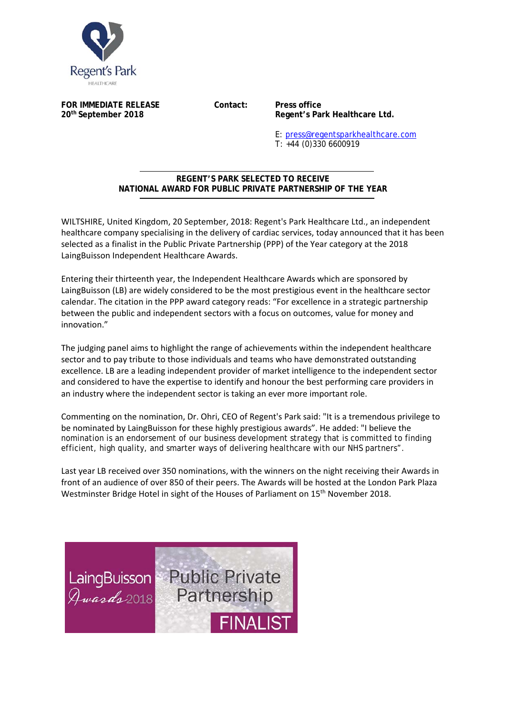

**FOR IMMEDIATE RELEASE Contact: Press office** 

20<sup>th</sup> September 2018 **Regent's Park Healthcare Ltd.** 

E: press@regentsparkhealthcare.com T: +44 (0)330 6600919

## **REGENT'S PARK SELECTED TO RECEIVE NATIONAL AWARD FOR PUBLIC PRIVATE PARTNERSHIP OF THE YEAR**  j

WILTSHIRE, United Kingdom, 20 September, 2018: Regent's Park Healthcare Ltd., an independent healthcare company specialising in the delivery of cardiac services, today announced that it has been selected as a finalist in the Public Private Partnership (PPP) of the Year category at the 2018 LaingBuisson Independent Healthcare Awards.

Entering their thirteenth year, the Independent Healthcare Awards which are sponsored by LaingBuisson (LB) are widely considered to be the most prestigious event in the healthcare sector calendar. The citation in the PPP award category reads: "For excellence in a strategic partnership between the public and independent sectors with a focus on outcomes, value for money and innovation."

The judging panel aims to highlight the range of achievements within the independent healthcare sector and to pay tribute to those individuals and teams who have demonstrated outstanding excellence. LB are a leading independent provider of market intelligence to the independent sector and considered to have the expertise to identify and honour the best performing care providers in an industry where the independent sector is taking an ever more important role.

Commenting on the nomination, Dr. Ohri, CEO of Regent's Park said: "It is a tremendous privilege to be nominated by LaingBuisson for these highly prestigious awards". He added: "I believe the nomination is an endorsement of our business development strategy that is committed to finding efficient, high quality, and smarter ways of delivering healthcare with our NHS partners".

Last year LB received over 350 nominations, with the winners on the night receiving their Awards in front of an audience of over 850 of their peers. The Awards will be hosted at the London Park Plaza Westminster Bridge Hotel in sight of the Houses of Parliament on 15<sup>th</sup> November 2018.